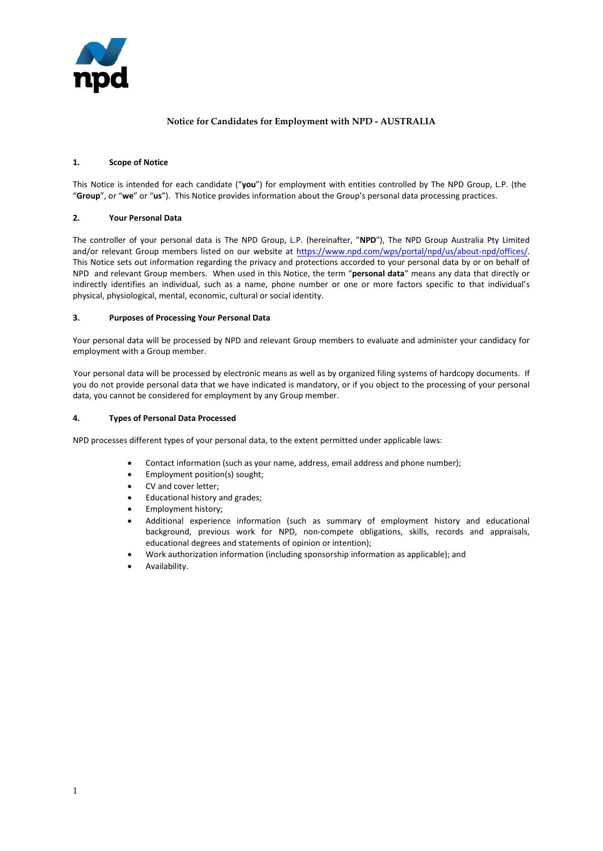

# **Notice for Candidates for Employment with NPD - AUSTRALIA**

#### **1. Scope of Notice**

This Notice is intended for each candidate ("**you**") for employment with entities controlled by The NPD Group, L.P. (the "**Group**", or "**we**" or "**us**"). This Notice provides information about the Group's personal data processing practices.

# **2. Your Personal Data**

The controller of your personal data is The NPD Group, L.P. (hereinafter, "**NPD**"), The NPD Group Australia Pty Limited and/or relevant Group members listed on our website at https://www.npd.com/wps/portal/npd/us/about-npd/offices/. This Notice sets out information regarding the privacy and protections accorded to your personal data by or on behalf of NPD and relevant Group members. When used in this Notice, the term "**personal data**" means any data that directly or indirectly identifies an individual, such as a name, phone number or one or more factors specific to that individual's physical, physiological, mental, economic, cultural or social identity.

#### **3. Purposes of Processing Your Personal Data**

Your personal data will be processed by NPD and relevant Group members to evaluate and administer your candidacy for employment with a Group member.

Your personal data will be processed by electronic means as well as by organized filing systems of hardcopy documents. If you do not provide personal data that we have indicated is mandatory, or if you object to the processing of your personal data, you cannot be considered for employment by any Group member.

#### **4. Types of Personal Data Processed**

NPD processes different types of your personal data, to the extent permitted under applicable laws:

- Contact information (such as your name, address, email address and phone number);
- Employment position(s) sought;
- CV and cover letter;
- Educational history and grades;
- Employment history;
- Additional experience information (such as summary of employment history and educational background, previous work for NPD, non-compete obligations, skills, records and appraisals, educational degrees and statements of opinion or intention);
- Work authorization information (including sponsorship information as applicable); and
- Availability.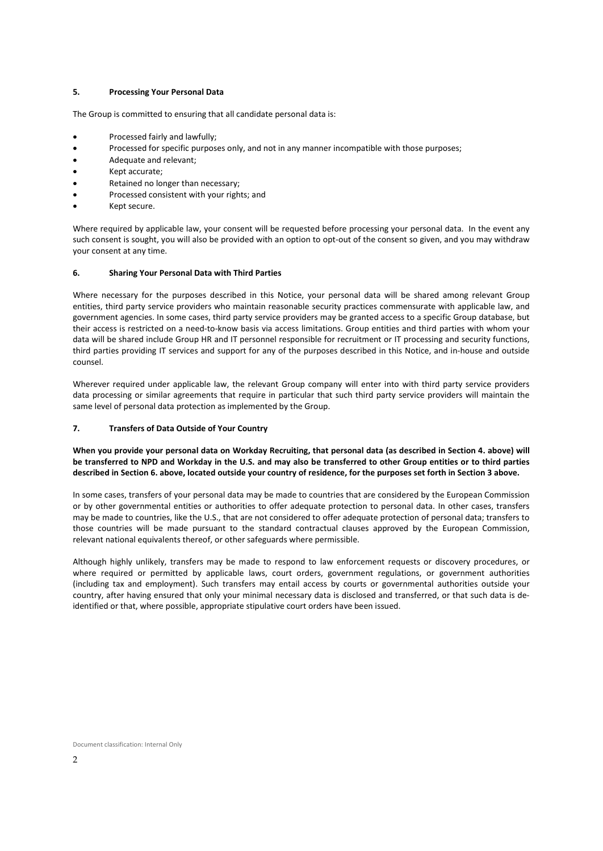# **5. Processing Your Personal Data**

The Group is committed to ensuring that all candidate personal data is:

- Processed fairly and lawfully;
- Processed for specific purposes only, and not in any manner incompatible with those purposes;
- Adequate and relevant;
- Kept accurate;
- Retained no longer than necessary;
- Processed consistent with your rights; and
- Kept secure.

Where required by applicable law, your consent will be requested before processing your personal data. In the event any such consent is sought, you will also be provided with an option to opt-out of the consent so given, and you may withdraw your consent at any time.

# **6. Sharing Your Personal Data with Third Parties**

Where necessary for the purposes described in this Notice, your personal data will be shared among relevant Group entities, third party service providers who maintain reasonable security practices commensurate with applicable law, and government agencies. In some cases, third party service providers may be granted access to a specific Group database, but their access is restricted on a need-to-know basis via access limitations. Group entities and third parties with whom your data will be shared include Group HR and IT personnel responsible for recruitment or IT processing and security functions, third parties providing IT services and support for any of the purposes described in this Notice, and in-house and outside counsel.

Wherever required under applicable law, the relevant Group company will enter into with third party service providers data processing or similar agreements that require in particular that such third party service providers will maintain the same level of personal data protection as implemented by the Group.

# **7. Transfers of Data Outside of Your Country**

**When you provide your personal data on Workday Recruiting, that personal data (as described in Section 4. above) will be transferred to NPD and Workday in the U.S. and may also be transferred to other Group entities or to third parties described in Section 6. above, located outside your country of residence, for the purposes set forth in Section 3 above.**

In some cases, transfers of your personal data may be made to countries that are considered by the European Commission or by other governmental entities or authorities to offer adequate protection to personal data. In other cases, transfers may be made to countries, like the U.S., that are not considered to offer adequate protection of personal data; transfers to those countries will be made pursuant to the standard contractual clauses approved by the European Commission, relevant national equivalents thereof, or other safeguards where permissible.

Although highly unlikely, transfers may be made to respond to law enforcement requests or discovery procedures, or where required or permitted by applicable laws, court orders, government regulations, or government authorities (including tax and employment). Such transfers may entail access by courts or governmental authorities outside your country, after having ensured that only your minimal necessary data is disclosed and transferred, or that such data is deidentified or that, where possible, appropriate stipulative court orders have been issued.